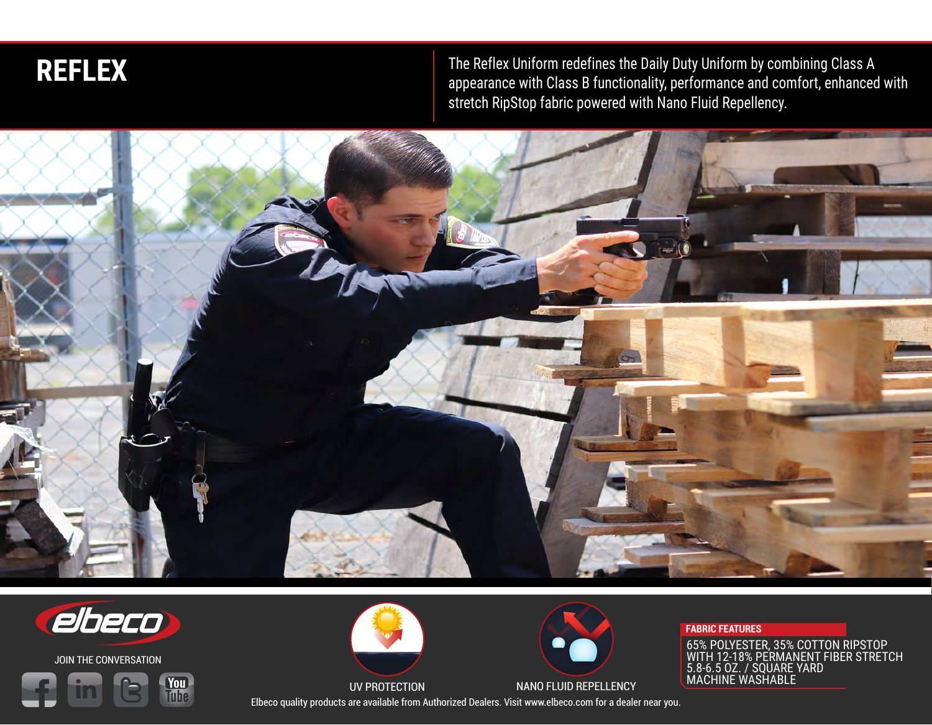

**REFLEX** appearance with Class B functionality, performance and combining Class A appearance with Class B functionality, performance and comfort, enhanced with stretch RipStop fabric powered with Nano Fluid Repellency.





JOIN THE CONVERSATION







## **FABRIC FEATURES**

65% POLYESTER, 35% COTTON RIPSTOP WITH 12-18% PERMANENT FIBER STRETCH 5.8-6.5 OZ. / SQUARE YARD MACHINE WASHABLE

Elbeco quality products are available from Authorized Dealers. Visit www.elbeco.com for a dealer near you.